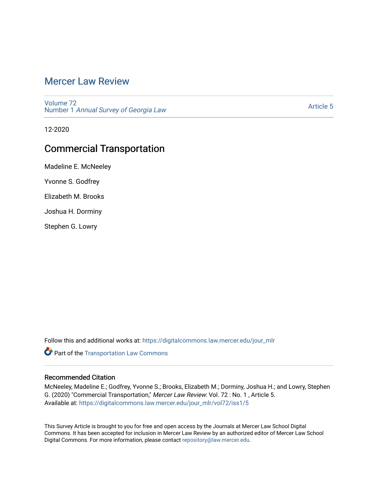# [Mercer Law Review](https://digitalcommons.law.mercer.edu/jour_mlr)

[Volume 72](https://digitalcommons.law.mercer.edu/jour_mlr/vol72) Number 1 [Annual Survey of Georgia Law](https://digitalcommons.law.mercer.edu/jour_mlr/vol72/iss1) 

[Article 5](https://digitalcommons.law.mercer.edu/jour_mlr/vol72/iss1/5) 

12-2020

## Commercial Transportation

Madeline E. McNeeley

Yvonne S. Godfrey

Elizabeth M. Brooks

Joshua H. Dorminy

Stephen G. Lowry

Follow this and additional works at: [https://digitalcommons.law.mercer.edu/jour\\_mlr](https://digitalcommons.law.mercer.edu/jour_mlr?utm_source=digitalcommons.law.mercer.edu%2Fjour_mlr%2Fvol72%2Fiss1%2F5&utm_medium=PDF&utm_campaign=PDFCoverPages)

**Part of the [Transportation Law Commons](http://network.bepress.com/hgg/discipline/885?utm_source=digitalcommons.law.mercer.edu%2Fjour_mlr%2Fvol72%2Fiss1%2F5&utm_medium=PDF&utm_campaign=PDFCoverPages)** 

## Recommended Citation

McNeeley, Madeline E.; Godfrey, Yvonne S.; Brooks, Elizabeth M.; Dorminy, Joshua H.; and Lowry, Stephen G. (2020) "Commercial Transportation," Mercer Law Review: Vol. 72 : No. 1 , Article 5. Available at: [https://digitalcommons.law.mercer.edu/jour\\_mlr/vol72/iss1/5](https://digitalcommons.law.mercer.edu/jour_mlr/vol72/iss1/5?utm_source=digitalcommons.law.mercer.edu%2Fjour_mlr%2Fvol72%2Fiss1%2F5&utm_medium=PDF&utm_campaign=PDFCoverPages)

This Survey Article is brought to you for free and open access by the Journals at Mercer Law School Digital Commons. It has been accepted for inclusion in Mercer Law Review by an authorized editor of Mercer Law School Digital Commons. For more information, please contact [repository@law.mercer.edu](mailto:repository@law.mercer.edu).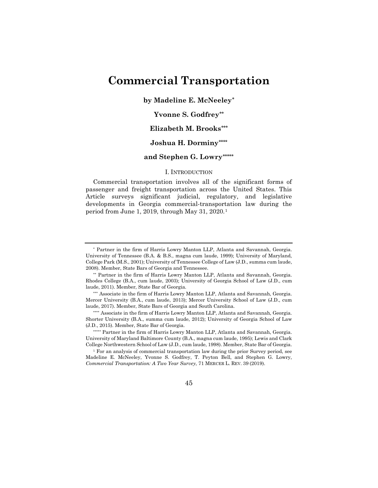# **Commercial Transportation**

**by Madeline E. McNeeley[\\*](#page-1-0)** 

## **Yvonne S. Godfrey[\\*\\*](#page-1-1)**

## **Elizabeth M. Brooks[\\*\\*\\*](#page-1-2)**

## **Joshua H. Dormin[y\\*\\*\\*\\*](#page-1-3)**

### **and Stephen G. Lowry[\\*\\*\\*\\*\\*](#page-1-4)**

#### I. INTRODUCTION

Commercial transportation involves all of the significant forms of passenger and freight transportation across the United States. This Article surveys significant judicial, regulatory, and legislative developments in Georgia commercial-transportation law during the period from June 1, 2019, through May 31, 2020.[1](#page-1-5)

<span id="page-1-5"></span><sup>1</sup> For an analysis of commercial transportation law during the prior Survey period, see Madeline E. McNeeley, Yvonne S. Godfrey, T. Peyton Bell, and Stephen G. Lowry, *Commercial Transportation: A Two Year Survey*, 71 MERCER L. REV. 39 (2019).



<span id="page-1-0"></span><sup>\*</sup> Partner in the firm of Harris Lowry Manton LLP, Atlanta and Savannah, Georgia. University of Tennessee (B.A. & B.S., magna cum laude, 1999); University of Maryland, College Park (M.S., 2001); University of Tennessee College of Law (J.D., summa cum laude, 2008). Member, State Bars of Georgia and Tennessee.

<span id="page-1-1"></span><sup>\*\*</sup> Partner in the firm of Harris Lowry Manton LLP, Atlanta and Savannah, Georgia. Rhodes College (B.A., cum laude, 2003); University of Georgia School of Law (J.D., cum laude, 2011). Member, State Bar of Georgia.

<span id="page-1-2"></span><sup>\*\*\*</sup> Associate in the firm of Harris Lowry Manton LLP, Atlanta and Savannah, Georgia. Mercer University (B.A., cum laude, 2013); Mercer University School of Law (J.D., cum laude, 2017). Member, State Bars of Georgia and South Carolina.

<span id="page-1-3"></span><sup>\*\*\*\*</sup> Associate in the firm of Harris Lowry Manton LLP, Atlanta and Savannah, Georgia. Shorter University (B.A., summa cum laude, 2012); University of Georgia School of Law (J.D., 2015). Member, State Bar of Georgia.

<span id="page-1-4"></span><sup>\*\*\*\*\*</sup> Partner in the firm of Harris Lowry Manton LLP, Atlanta and Savannah, Georgia. University of Maryland Baltimore County (B.A., magna cum laude, 1995); Lewis and Clark College Northwestern School of Law (J.D., cum laude, 1998). Member, State Bar of Georgia.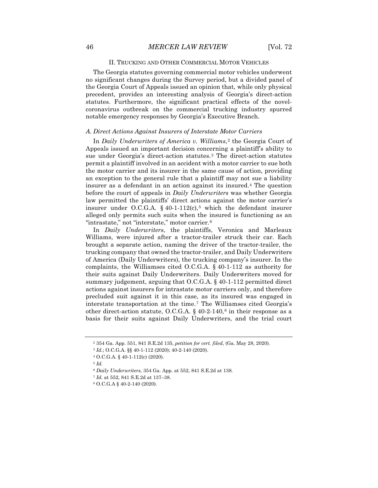#### II. TRUCKING AND OTHER COMMERCIAL MOTOR VEHICLES

The Georgia statutes governing commercial motor vehicles underwent no significant changes during the Survey period, but a divided panel of the Georgia Court of Appeals issued an opinion that, while only physical precedent, provides an interesting analysis of Georgia's direct-action statutes. Furthermore, the significant practical effects of the novelcoronavirus outbreak on the commercial trucking industry spurred notable emergency responses by Georgia's Executive Branch.

#### *A. Direct Actions Against Insurers of Interstate Motor Carriers*

In *Daily Underwriters of America v. Williams*,<sup>[2](#page-2-0)</sup> the Georgia Court of Appeals issued an important decision concerning a plaintiff's ability to sue under Georgia's direct-action statutes.[3](#page-2-1) The direct-action statutes permit a plaintiff involved in an accident with a motor carrier to sue both the motor carrier and its insurer in the same cause of action, providing an exception to the general rule that a plaintiff may not sue a liability insurer as a defendant in an action against its insured.[4](#page-2-2) The question before the court of appeals in *Daily Underwriters* was whether Georgia law permitted the plaintiffs' direct actions against the motor carrier's insurer under O.C.G.A. § 40-1-112 $(c)$ ,<sup>[5](#page-2-3)</sup> which the defendant insurer alleged only permits such suits when the insured is functioning as an "intrastate," not "interstate," motor carrier.[6](#page-2-4)

In *Daily Underwriters*, the plaintiffs, Veronica and Marleaux Williams, were injured after a tractor-trailer struck their car. Each brought a separate action, naming the driver of the tractor-trailer, the trucking company that owned the tractor-trailer, and Daily Underwriters of America (Daily Underwriters), the trucking company's insurer. In the complaints, the Williamses cited O.C.G.A. § 40-1-112 as authority for their suits against Daily Underwriters. Daily Underwriters moved for summary judgement, arguing that O.C.G.A. § 40-1-112 permitted direct actions against insurers for intrastate motor carriers only, and therefore precluded suit against it in this case, as its insured was engaged in interstate transportation at the time.[7](#page-2-5) The Williamses cited Georgia's other direct-action statute, O.C.G.A.  $\S$  40-2-140,<sup>[8](#page-2-6)</sup> in their response as a basis for their suits against Daily Underwriters, and the trial court

<span id="page-2-0"></span><sup>2</sup> 354 Ga. App. 551, 841 S.E.2d 135, *petition for cert. filed*, (Ga. May 28, 2020).

<sup>3</sup> *Id.*; O.C.G.A. §§ 40-1-112 (2020); 40-2-140 (2020).

<span id="page-2-2"></span><span id="page-2-1"></span><sup>4</sup> O.C.G.A. § 40-1-112(c) (2020).

<span id="page-2-4"></span><span id="page-2-3"></span><sup>5</sup> *Id.*

<sup>6</sup> *Daily Underwriters,* 354 Ga. App. at 552, 841 S.E.2d at 138.

<span id="page-2-5"></span><sup>7</sup> *Id.* at 552, 841 S.E.2d at 137–38.

<span id="page-2-6"></span><sup>8</sup> O.C.G.A § 40-2-140 (2020).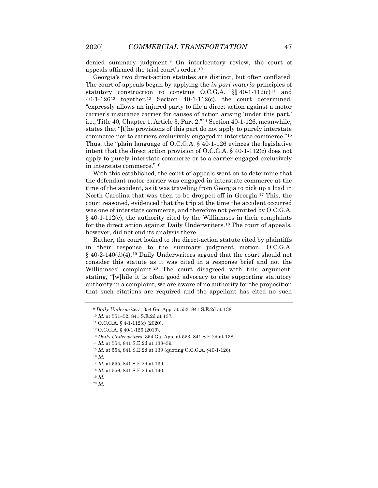denied summary judgment.[9](#page-3-0) On interlocutory review, the court of appeals affirmed the trial court's order.[10](#page-3-1)

Georgia's two direct-action statutes are distinct, but often conflated. The court of appeals began by applying the *in pari materia* principles of statutory construction to construe O.C.G.A.  $\S$ § 40-1-[11](#page-3-2)2(c)<sup>11</sup> and 40-1-126[12](#page-3-3) together.[13](#page-3-4) Section 40-1-112(c), the court determined, "expressly allows an injured party to file a direct action against a motor carrier's insurance carrier for causes of action arising 'under this part,' i.e., Title 40, Chapter 1, Article 3, Part 2."[14](#page-3-5) Section 40-1-126, meanwhile, states that "[t]he provisions of this part do not apply to purely interstate commerce nor to carriers exclusively engaged in interstate commerce."[15](#page-3-6) Thus, the "plain language of O.C.G.A. § 40-1-126 evinces the legislative intent that the direct action provision of O.C.G.A. § 40-1-112(c) does not apply to purely interstate commerce or to a carrier engaged exclusively in interstate commerce."[16](#page-3-7)

With this established, the court of appeals went on to determine that the defendant motor carrier was engaged in interstate commerce at the time of the accident, as it was traveling from Georgia to pick up a load in North Carolina that was then to be dropped off in Georgia.[17](#page-3-8) This, the court reasoned, evidenced that the trip at the time the accident occurred was one of interstate commerce, and therefore not permitted by O.C.G.A. § 40-1-112(c), the authority cited by the Williamses in their complaints for the direct action against Daily Underwriters.[18](#page-3-9) The court of appeals, however, did not end its analysis there.

Rather, the court looked to the direct-action statute cited by plaintiffs in their response to the summary judgment motion, O.C.G.A.  $§$  40-2-140(d)(4).<sup>[19](#page-3-10)</sup> Daily Underwriters argued that the court should not consider this statute as it was cited in a response brief and not the Williamses' complaint.<sup>[20](#page-3-11)</sup> The court disagreed with this argument, stating, "[w]hile it is often good advocacy to cite supporting statutory authority in a complaint, we are aware of no authority for the proposition that such citations are required and the appellant has cited no such

<span id="page-3-8"></span><span id="page-3-7"></span><span id="page-3-6"></span><sup>16</sup> *Id.* 

<span id="page-3-1"></span><span id="page-3-0"></span><sup>9</sup> *Daily Underwriters*, 354 Ga. App. at 552, 841 S.E.2d at 138.

<sup>10</sup> *Id.* at 551–52, 841 S.E.2d at 137.

<span id="page-3-3"></span><span id="page-3-2"></span><sup>11</sup> O.C.G.A. § 4-1-112(c) (2020).

<sup>12</sup> O.C.G.A. § 40-1-126 (2019).

<span id="page-3-4"></span><sup>13</sup> *Daily Underwriters*, 354 Ga. App. at 553, 841 S.E.2d at 138.

<sup>14</sup> *Id.* at 554, 841 S.E.2d at 138–39.

<span id="page-3-5"></span><sup>15</sup> *Id.* at 554, 841 S.E.2d at 139 (quoting O.C.G.A. §40-1-126).

<sup>17</sup> *Id.* at 555, 841 S.E.2d at 139.

<span id="page-3-9"></span><sup>18</sup> *Id.* at 556, 841 S.E.2d at 140.

<span id="page-3-11"></span><span id="page-3-10"></span><sup>19</sup> *Id.*

<sup>20</sup> *Id.*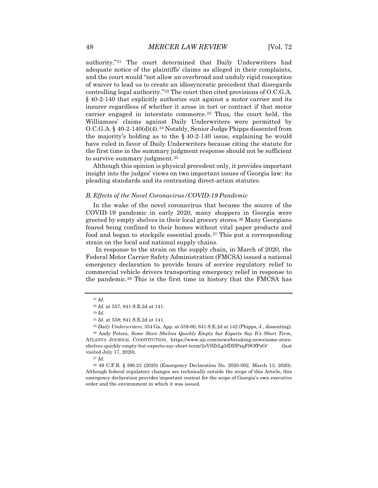authority."[21](#page-4-0) The court determined that Daily Underwriters had adequate notice of the plaintiffs' claims as alleged in their complaints, and the court would "not allow an overbroad and unduly rigid conception of waiver to lead us to create an idiosyncratic precedent that disregards controlling legal authority."[22](#page-4-1) The court then cited provisions of O.C.G.A. § 40-2-140 that explicitly authorize suit against a motor carrier and its insurer regardless of whether it arose in tort or contract if that motor carrier engaged in interstate commerce.<sup>[23](#page-4-2)</sup> Thus, the court held, the Williamses' claims against Daily Underwriters were permitted by O.C.G.A. § 40-2-140(d)(4).<sup>[24](#page-4-3)</sup> Notably, Senior Judge Phipps dissented from the majority's holding as to the  $\S$  40-2-140 issue, explaining he would have ruled in favor of Daily Underwriters because citing the statute for the first time in the summary judgment response should not be sufficient to survive summary judgment.<sup>[25](#page-4-4)</sup>

Although this opinion is physical precedent only, it provides important insight into the judges' views on two important issues of Georgia law: its pleading standards and its contrasting direct-action statutes.

#### *B. Effects of the Novel Coronavirus/COVID-19 Pandemic*

In the wake of the novel coronavirus that became the source of the COVID-19 pandemic in early 2020, many shoppers in Georgia were greeted by empty shelves in their local grocery stores.[26](#page-4-5) Many Georgians feared being confined to their homes without vital paper products and food and began to stockpile essential goods.[27](#page-4-6) This put a corresponding strain on the local and national supply chains.

In response to the strain on the supply chain, in March of 2020, the Federal Motor Carrier Safety Administration (FMCSA) issued a national emergency declaration to provide hours of service regulatory relief to commercial vehicle drivers transporting emergency relief in response to the pandemic.[28](#page-4-7) This is the first time in history that the FMCSA has

<sup>27</sup> *Id.*

<span id="page-4-7"></span><span id="page-4-6"></span><sup>28</sup> 49 C.F.R. § 390.23 (2020) (Emergency Declaration No. 2020-002, March 13, 2020). Although federal regulatory changes are technically outside the scope of this Article, this emergency declaration provides important context for the scope of Georgia's own executive order and the environment in which it was issued.

<span id="page-4-0"></span><sup>21</sup> *Id.*

<sup>22</sup> *Id.* at 557, 841 S.E.2d at 141.

<sup>23</sup> *Id.*

<sup>24</sup> *Id.* at 558; 841 S.E.2d at 141.

<sup>25</sup> *Daily Underwriters*, 354 Ga. App. at 559-60, 841 S.E.2d at 142 (Phipps, J., dissenting).

<span id="page-4-5"></span><span id="page-4-4"></span><span id="page-4-3"></span><span id="page-4-2"></span><span id="page-4-1"></span><sup>26</sup> Andy Peters, *Some Store Shelves Quickly Empty but Experts Say It's Short Term*, ATLANTA JOURNAL CONSTITUTION, https://www.ajc.com/news/breaking-news/some-storeshelves-quickly-empty-but-experts-say-short-term/2sVSZtLg5fDDPxqFSOfPzO/ (last visited July 17, 2020).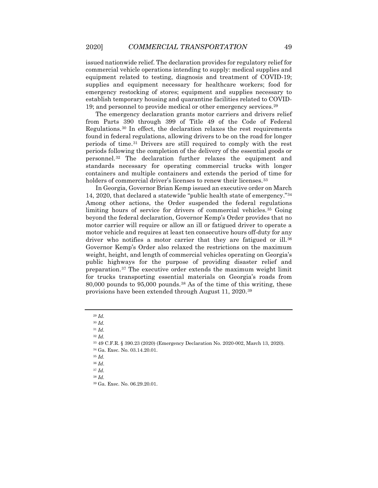issued nationwide relief. The declaration provides for regulatory relief for commercial vehicle operations intending to supply: medical supplies and equipment related to testing, diagnosis and treatment of COVID-19; supplies and equipment necessary for healthcare workers; food for emergency restocking of stores; equipment and supplies necessary to establish temporary housing and quarantine facilities related to COVID-19; and personnel to provide medical or other emergency services.[29](#page-5-0)

The emergency declaration grants motor carriers and drivers relief from Parts 390 through 399 of Title 49 of the Code of Federal Regulations.[30](#page-5-1) In effect, the declaration relaxes the rest requirements found in federal regulations, allowing drivers to be on the road for longer periods of time.[31](#page-5-2) Drivers are still required to comply with the rest periods following the completion of the delivery of the essential goods or personnel.[32](#page-5-3) The declaration further relaxes the equipment and standards necessary for operating commercial trucks with longer containers and multiple containers and extends the period of time for holders of commercial driver's licenses to renew their licenses.<sup>[33](#page-5-4)</sup>

In Georgia, Governor Brian Kemp issued an executive order on March 14, 2020, that declared a statewide "public health state of emergency."[34](#page-5-5) Among other actions, the Order suspended the federal regulations limiting hours of service for drivers of commercial vehicles.[35](#page-5-6) Going beyond the federal declaration, Governor Kemp's Order provides that no motor carrier will require or allow an ill or fatigued driver to operate a motor vehicle and requires at least ten consecutive hours off-duty for any driver who notifies a motor carrier that they are fatigued or ill.<sup>[36](#page-5-7)</sup> Governor Kemp's Order also relaxed the restrictions on the maximum weight, height, and length of commercial vehicles operating on Georgia's public highways for the purpose of providing disaster relief and preparation.[37](#page-5-8) The executive order extends the maximum weight limit for trucks transporting essential materials on Georgia's roads from 80,000 pounds to 95,000 pounds.[38](#page-5-9) As of the time of this writing, these provisions have been extended through August 11, 2020.[39](#page-5-10)

<sup>38</sup> *Id.*

<sup>29</sup> *Id.*

<span id="page-5-2"></span><span id="page-5-1"></span><span id="page-5-0"></span><sup>30</sup> *Id.*

<sup>31</sup> *Id.*

<sup>32</sup> *Id.*

<span id="page-5-6"></span><span id="page-5-5"></span><span id="page-5-4"></span><span id="page-5-3"></span><sup>33</sup> 49 C.F.R. § 390.23 (2020) (Emergency Declaration No. 2020-002, March 13, 2020). <sup>34</sup> Ga. Exec. No. 03.14.20.01.

<sup>35</sup> *Id.*

<sup>36</sup> *Id*.

<span id="page-5-10"></span><span id="page-5-9"></span><span id="page-5-8"></span><span id="page-5-7"></span><sup>37</sup> *Id.*

<sup>39</sup> Ga. Exec. No. 06.29.20.01.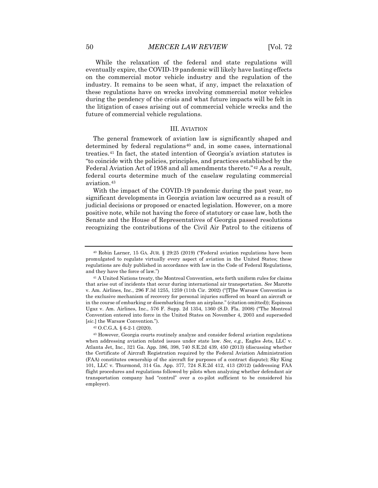While the relaxation of the federal and state regulations will eventually expire, the COVID-19 pandemic will likely have lasting effects on the commercial motor vehicle industry and the regulation of the industry. It remains to be seen what, if any, impact the relaxation of these regulations have on wrecks involving commercial motor vehicles during the pendency of the crisis and what future impacts will be felt in the litigation of cases arising out of commercial vehicle wrecks and the future of commercial vehicle regulations.

#### III. AVIATION

The general framework of aviation law is significantly shaped and determined by federal regulations<sup>[40](#page-6-0)</sup> and, in some cases, international treaties.[41](#page-6-1) In fact, the stated intention of Georgia's aviation statutes is "to coincide with the policies, principles, and practices established by the Federal Aviation Act of 1958 and all amendments thereto."<sup>[42](#page-6-2)</sup> As a result, federal courts determine much of the caselaw regulating commercial aviation.[43](#page-6-3)

With the impact of the COVID-19 pandemic during the past year, no significant developments in Georgia aviation law occurred as a result of judicial decisions or proposed or enacted legislation. However, on a more positive note, while not having the force of statutory or case law, both the Senate and the House of Representatives of Georgia passed resolutions recognizing the contributions of the Civil Air Patrol to the citizens of

<span id="page-6-0"></span><sup>40</sup> Robin Larner, 15 GA. JUR. § 29:25 (2019) ("Federal aviation regulations have been promulgated to regulate virtually every aspect of aviation in the United States; these regulations are duly published in accordance with law in the Code of Federal Regulations, and they have the force of law.")

<span id="page-6-1"></span><sup>41</sup> A United Nations treaty, the Montreal Convention, sets forth uniform rules for claims that arise out of incidents that occur during international air transportation. *See* Marotte v. Am. Airlines, Inc., 296 F.3d 1255, 1259 (11th Cir. 2002) ("[T]he Warsaw Convention is the exclusive mechanism of recovery for personal injuries suffered on board an aircraft or in the course of embarking or disembarking from an airplane." (citation omitted)); Espinoza Ugaz v. Am. Airlines, Inc., 576 F. Supp. 2d 1354, 1360 (S.D. Fla. 2008) ("The Montreal Convention entered into force in the United States on November 4, 2003 and superseded [*sic.*] the Warsaw Convention.").

<sup>42</sup> O.C.G.A. § 6-2-1 (2020).

<span id="page-6-3"></span><span id="page-6-2"></span><sup>43</sup> However, Georgia courts routinely analyze and consider federal aviation regulations when addressing aviation related issues under state law. *See, e.g.,* Eagles Jets, LLC v. Atlanta Jet, Inc., 321 Ga. App. 386, 398, 740 S.E.2d 439, 450 (2013) (discussing whether the Certificate of Aircraft Registration required by the Federal Aviation Administration (FAA) constitutes ownership of the aircraft for purposes of a contract dispute); Sky King 101, LLC v. Thurmond, 314 Ga. App. 377, 724 S.E.2d 412, 413 (2012) (addressing FAA flight procedures and regulations followed by pilots when analyzing whether defendant air transportation company had "control" over a co-pilot sufficient to be considered his employer).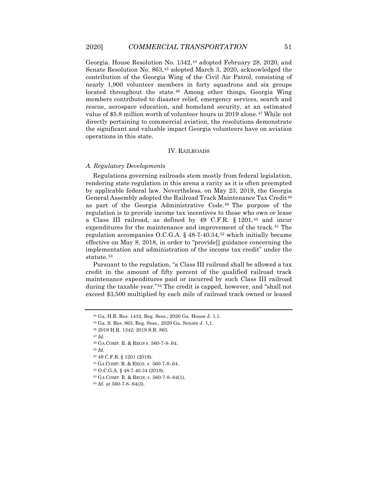Georgia. House Resolution No. 1342,<sup>[44](#page-7-0)</sup> adopted February 28, 2020, and Senate Resolution No. 863,[45](#page-7-1) adopted March 3, 2020, acknowledged the contribution of the Georgia Wing of the Civil Air Patrol, consisting of nearly 1,900 volunteer members in forty squadrons and six groups located throughout the state.<sup>[46](#page-7-2)</sup> Among other things, Georgia Wing members contributed to disaster relief, emergency services, search and rescue, aerospace education, and homeland security, at an estimated value of \$5.8 million worth of volunteer hours in 2019 alone.<sup>[47](#page-7-3)</sup> While not directly pertaining to commercial aviation, the resolutions demonstrate the significant and valuable impact Georgia volunteers have on aviation operations in this state.

#### IV. RAILROADS

#### *A. Regulatory Developments*

Regulations governing railroads stem mostly from federal legislation, rendering state regulation in this arena a rarity as it is often preempted by applicable federal law. Nevertheless, on May 23, 2019, the Georgia General Assembly adopted the Railroad Track Maintenance Tax Credit[48](#page-7-4) as part of the Georgia Administrative Code.[49](#page-7-5) The purpose of the regulation is to provide income tax incentives to those who own or lease a Class III railroad, as defined by 49 C.F.R. § 1201,[50](#page-7-6) and incur expenditures for the maintenance and improvement of the track.<sup>[51](#page-7-7)</sup> The regulation accompanies O.C.G.A.  $\S$  48-7-40.34,<sup>[52](#page-7-8)</sup> which initially became effective on May 8, 2018, in order to "provide" guidance concerning the implementation and administration of the income tax credit" under the statute.<sup>[53](#page-7-9)</sup>

Pursuant to the regulation, "a Class III railroad shall be allowed a tax credit in the amount of fifty percent of the qualified railroad track maintenance expenditures paid or incurred by such Class III railroad during the taxable year."[54](#page-7-10) The credit is capped, however, and "shall not exceed \$3,500 multiplied by each mile of railroad track owned or leased

<span id="page-7-4"></span><span id="page-7-3"></span><sup>47</sup> *Id.*

<span id="page-7-5"></span><sup>49</sup> *Id.*

<span id="page-7-6"></span><sup>50</sup> 49 C.F.R. § 1201 (2018).

- <span id="page-7-9"></span><span id="page-7-8"></span><sup>52</sup> O.C.G.A. § 48-7-40.34 (2018).
- <sup>53</sup> GA COMP. R. & REGS. r. 560-7-8-.64(1).

<span id="page-7-1"></span><span id="page-7-0"></span><sup>44</sup> Ga. H.R. Res. 1432, Reg. Sess., 2020 Ga. House J. 1,1.

<sup>45</sup> Ga. S. Res. 863, Reg. Sess., 2020 Ga. Senate J. 1,1.

<span id="page-7-2"></span><sup>46</sup> 2019 H.R. 1342; 2019 S.R. 863.

<sup>48</sup> GA COMP. R. & REGS r. 560-7-8-.64.

<span id="page-7-7"></span><sup>51</sup> GA COMP. R. & REGS. r. 560-7-8-.64.

<span id="page-7-10"></span><sup>54</sup> *Id.* at 560-7-8-.64(3).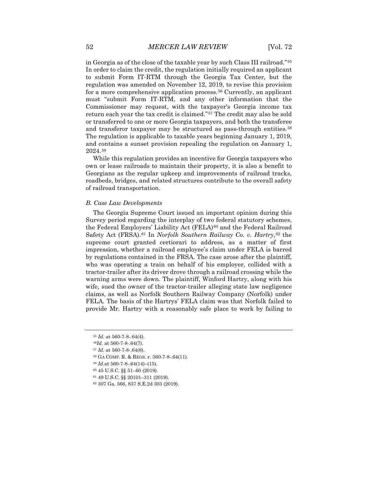in Georgia as of the close of the taxable year by such Class III railroad."[55](#page-8-0) In order to claim the credit, the regulation initially required an applicant to submit Form IT-RTM through the Georgia Tax Center, but the regulation was amended on November 12, 2019, to revise this provision for a more comprehensive application process.<sup>[56](#page-8-1)</sup> Currently, an applicant must "submit Form IT-RTM, and any other information that the Commissioner may request, with the taxpayer's Georgia income tax return each year the tax credit is claimed."[57](#page-8-2) The credit may also be sold or transferred to one or more Georgia taxpayers, and both the transferee and transferor taxpayer may be structured as pass-through entities.<sup>[58](#page-8-3)</sup> The regulation is applicable to taxable years beginning January 1, 2019, and contains a sunset provision repealing the regulation on January 1, 2024.[59](#page-8-4)

While this regulation provides an incentive for Georgia taxpayers who own or lease railroads to maintain their property, it is also a benefit to Georgians as the regular upkeep and improvements of railroad tracks, roadbeds, bridges, and related structures contribute to the overall safety of railroad transportation.

#### *B. Case Law Developments*

The Georgia Supreme Court issued an important opinion during this Survey period regarding the interplay of two federal statutory schemes, the Federal Employers' Liability Act (FELA)<sup>[60](#page-8-5)</sup> and the Federal Railroad Safety Act (FRSA).[61](#page-8-6) In *Norfolk Southern Railway Co. v. Hartry*,[62](#page-8-7) the supreme court granted certiorari to address, as a matter of first impression, whether a railroad employee's claim under FELA is barred by regulations contained in the FRSA. The case arose after the plaintiff, who was operating a train on behalf of his employer, collided with a tractor-trailer after its driver drove through a railroad crossing while the warning arms were down. The plaintiff, Winford Hartry, along with his wife, sued the owner of the tractor-trailer alleging state law negligence claims, as well as Norfolk Southern Railway Company (Norfolk) under FELA. The basis of the Hartrys' FELA claim was that Norfolk failed to provide Mr. Hartry with a reasonably safe place to work by failing to

- <span id="page-8-5"></span><span id="page-8-4"></span><span id="page-8-3"></span><sup>59</sup> *Id.*at 560-7-8-.64(14)–(15).
- <sup>60</sup> 45 U.S.C. §§ 51–60 (2019).
- <span id="page-8-6"></span><sup>61</sup> 49 U.S.C. §§ 20101–311 (2019).

<sup>55</sup> *Id.* at 560-7-8-.64(4).

<span id="page-8-2"></span><span id="page-8-1"></span><span id="page-8-0"></span>*<sup>56</sup>Id.* at 560-7-8-.64(7).

<sup>57</sup> *Id.* at 560-7-8-.64(8).

<sup>58</sup> GA COMP. R. & REGS. r. 560-7-8-.64(11).

<span id="page-8-7"></span><sup>62</sup> 307 Ga. 566, 837 S.E.2d 303 (2019).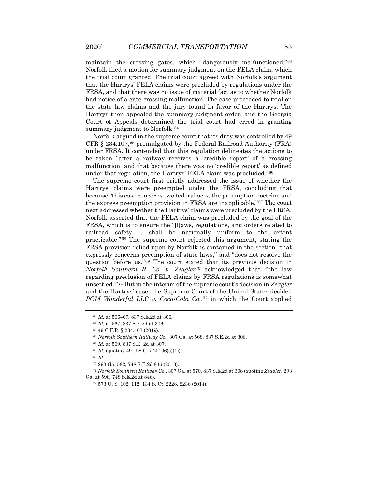maintain the crossing gates, which "dangerously malfunctioned."[63](#page-9-0) Norfolk filed a motion for summary judgment on the FELA claim, which the trial court granted. The trial court agreed with Norfolk's argument that the Hartrys' FELA claims were precluded by regulations under the FRSA, and that there was no issue of material fact as to whether Norfolk had notice of a gate-crossing malfunction. The case proceeded to trial on the state law claims and the jury found in favor of the Hartrys. The Hartrys then appealed the summary-judgment order, and the Georgia Court of Appeals determined the trial court had erred in granting summary judgment to Norfolk.<sup>[64](#page-9-1)</sup>

Norfolk argued in the supreme court that its duty was controlled by 49 CFR § 234.107,[65](#page-9-2) promulgated by the Federal Railroad Authority (FRA) under FRSA. It contended that this regulation delineates the actions to be taken "after a railway receives a 'credible report' of a crossing malfunction, and that because there was no 'credible report' as defined under that regulation, the Hartrys' FELA claim was precluded."[66](#page-9-3)

The supreme court first briefly addressed the issue of whether the Hartrys' claims were preempted under the FRSA, concluding that because "this case concerns two federal acts, the preemption doctrine and the express preemption provision in FRSA are inapplicable."[67](#page-9-4) The court next addressed whether the Hartrys' claims were precluded by the FRSA. Norfolk asserted that the FELA claim was precluded by the goal of the FRSA, which is to ensure the "[l]aws, regulations, and orders related to railroad safety... shall be nationally uniform to the extent practicable."[68](#page-9-5) The supreme court rejected this argument, stating the FRSA provision relied upon by Norfolk is contained in the section "that expressly concerns preemption of state laws," and "does not resolve the question before us."[69](#page-9-6) The court stated that its previous decision in *Norfolk Southern R. Co. v. Zeagler*[70](#page-9-7) acknowledged that "'the law regarding preclusion of FELA claims by FRSA regulations is somewhat unsettled.'"[71](#page-9-8) But in the interim of the supreme court's decision in *Zeagler* and the Hartrys' case, the Supreme Court of the United States decided *POM Wonderful LLC v. Coca-Cola Co.*,<sup>[72](#page-9-9)</sup> in which the Court applied

<sup>69</sup> *Id.*

<span id="page-9-9"></span><span id="page-9-8"></span><span id="page-9-7"></span><span id="page-9-6"></span><span id="page-9-5"></span><span id="page-9-4"></span><span id="page-9-3"></span><sup>71</sup> *Norfolk Southern Railway Co.*, 307 Ga. at 570, 837 S.E.2d at 308 (quoting *Zeagler*, 293 Ga. at 598, 748 S.E.2d at 846).

<span id="page-9-0"></span><sup>63</sup> *Id.* at 566–67, 837 S.E.2d at 306.

<span id="page-9-2"></span><span id="page-9-1"></span><sup>64</sup> *Id.* at 567, 837 S.E.2d at 306.

<sup>65</sup> 49 C.F.R. § 234.107 (2019).

<sup>66</sup> *Norfolk Southern Railway Co.*, 307 Ga. at 568, 837 S.E.2d at 306.

<sup>67</sup> *Id.* at 569, 837 S.E. 2d at 307.

<sup>68</sup> *Id.* (quoting 49 U.S.C. § 20106(a)(1)).

<sup>70</sup> 293 Ga. 582, 748 S.E.2d 846 (2013).

<sup>72</sup> 573 U. S. 102, 112, 134 S. Ct. 2228, 2236 (2014).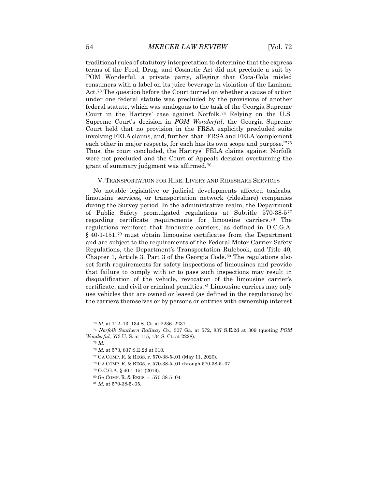traditional rules of statutory interpretation to determine that the express terms of the Food, Drug, and Cosmetic Act did not preclude a suit by POM Wonderful, a private party, alleging that Coca-Cola misled consumers with a label on its juice beverage in violation of the Lanham Act.[73](#page-10-0) The question before the Court turned on whether a cause of action under one federal statute was precluded by the provisions of another federal statute, which was analogous to the task of the Georgia Supreme Court in the Hartrys' case against Norfolk.[74](#page-10-1) Relying on the U.S. Supreme Court's decision in *POM Wonderful*, the Georgia Supreme Court held that no provision in the FRSA explicitly precluded suits involving FELA claims, and, further, that "FRSA and FELA 'complement each other in major respects, for each has its own scope and purpose.'"[75](#page-10-2) Thus, the court concluded, the Hartrys' FELA claims against Norfolk were not precluded and the Court of Appeals decision overturning the grant of summary judgment was affirmed.[76](#page-10-3)

#### V. TRANSPORTATION FOR HIRE: LIVERY AND RIDESHARE SERVICES

No notable legislative or judicial developments affected taxicabs, limousine services, or transportation network (rideshare) companies during the Survey period. In the administrative realm, the Department of Public Safety promulgated regulations at Subtitle 570-38-5[77](#page-10-4) regarding certificate requirements for limousine carriers.[78](#page-10-5) The regulations reinforce that limousine carriers, as defined in O.C.G.A. § 40-1-151,[79](#page-10-6) must obtain limousine certificates from the Department and are subject to the requirements of the Federal Motor Carrier Safety Regulations, the Department's Transportation Rulebook, and Title 40, Chapter 1, Article 3, Part 3 of the Georgia Code.<sup>[80](#page-10-7)</sup> The regulations also set forth requirements for safety inspections of limousines and provide that failure to comply with or to pass such inspections may result in disqualification of the vehicle, revocation of the limousine carrier's certificate, and civil or criminal penalties.<sup>[81](#page-10-8)</sup> Limousine carriers may only use vehicles that are owned or leased (as defined in the regulations) by the carriers themselves or by persons or entities with ownership interest

<sup>73</sup> *Id.* at 112–13, 134 S. Ct. at 2236–2237.

<span id="page-10-5"></span><span id="page-10-4"></span><span id="page-10-3"></span><span id="page-10-2"></span><span id="page-10-1"></span><span id="page-10-0"></span><sup>74</sup> *Norfolk Southern Railway Co.*, 307 Ga. at 572, 837 S.E.2d at 309 (quoting *POM Wonderful*, 573 U. S. at 115, 134 S. Ct. at 2228).

<sup>75</sup> *Id.*

<sup>76</sup> *Id.* at 573, 837 S.E.2d at 310.

<sup>77</sup> GA COMP. R. & REGS. r. 570-38-5-.01 (May 11, 2020).

<span id="page-10-7"></span><span id="page-10-6"></span><sup>78</sup> GA COMP. R. & REGS. r. 570-38-5-.01 through 570-38-5-.07

<sup>79</sup> O.C.G.A. § 40-1-151 (2019).

<sup>80</sup> GA COMP. R. & REGS. r. 570-38-5-.04.

<span id="page-10-8"></span><sup>81</sup> *Id.* at 570-38-5-.05.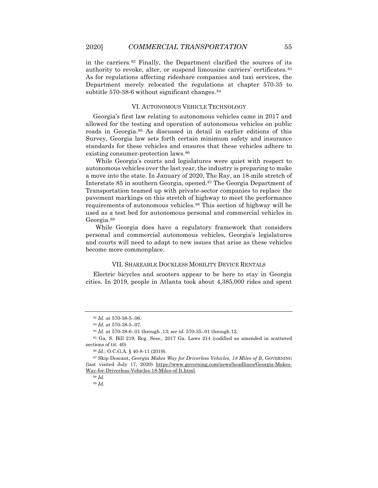in the carriers.[82](#page-11-0) Finally, the Department clarified the sources of its authority to revoke, alter, or suspend limousine carriers' certificates.[83](#page-11-1) As for regulations affecting rideshare companies and taxi services, the Department merely relocated the regulations at chapter 570-35 to subtitle  $570-38-6$  without significant changes.  $84$ 

#### VI. AUTONOMOUS VEHICLE TECHNOLOGY

Georgia's first law relating to autonomous vehicles came in 2017 and allowed for the testing and operation of autonomous vehicles on public roads in Georgia.[85](#page-11-3) As discussed in detail in earlier editions of this Survey, Georgia law sets forth certain minimum safety and insurance standards for these vehicles and ensures that these vehicles adhere to existing consumer-protection laws.<sup>[86](#page-11-4)</sup>

While Georgia's courts and legislatures were quiet with respect to autonomous vehicles over the last year, the industry is preparing to make a move into the state. In January of 2020, The Ray, an 18-mile stretch of Interstate 85 in southern Georgia, opened.[87](#page-11-5) The Georgia Department of Transportation teamed up with private-sector companies to replace the pavement markings on this stretch of highway to meet the performance requirements of autonomous vehicles.<sup>[88](#page-11-6)</sup> This section of highway will be used as a test bed for autonomous personal and commercial vehicles in Georgia.[89](#page-11-7)

While Georgia does have a regulatory framework that considers personal and commercial autonomous vehicles, Georgia's legislatures and courts will need to adapt to new issues that arise as these vehicles become more commonplace.

## VII. SHAREABLE DOCKLESS MOBILITY DEVICE RENTALS

Electric bicycles and scooters appear to be here to stay in Georgia cities. In 2019, people in Atlanta took about 4,385,000 rides and spent

<sup>82</sup> *Id.* at 570-38-5-.06.

<sup>83</sup> *Id.* at 570-38-5-.07.

<sup>84</sup> *Id.* at 570-38-6-.01 through .13; *see id.* 570-35-.01 through.12.

<span id="page-11-3"></span><span id="page-11-2"></span><span id="page-11-1"></span><span id="page-11-0"></span><sup>85</sup> Ga. S. Bill 219, Reg. Sess., 2017 Ga. Laws 214 (codified as amended in scattered sections of tit. 40)

<sup>86</sup> *Id.*; O.C.G.A. § 40-8-11 (2019).

<span id="page-11-7"></span><span id="page-11-6"></span><span id="page-11-5"></span><span id="page-11-4"></span><sup>87</sup> Skip Descant, *Georgia Makes Way for Driverless Vehicles, 18 Miles of It*, GOVERNING (last visited July 17, 2020) https://www.governing.com/news/headlines/Georgia-Makes-Way-for-Driverless-Vehicles-18-Miles-of-It.html.

<sup>88</sup> *Id.*

<sup>89</sup> *Id.*